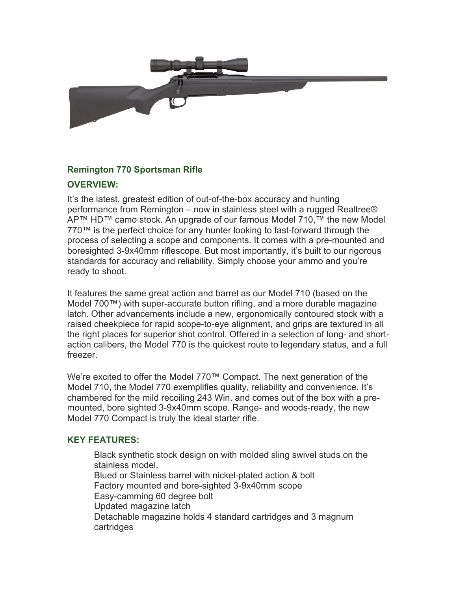

## **Remington 770 Sportsman Rifle**

## **OVERVIEW:**

It's the latest, greatest edition of out-of-the-box accuracy and hunting performance from Remington – now in stainless steel with a rugged Realtree® AP™ HD™ camo stock. An upgrade of our famous Model 710,<sup>™</sup> the new Model 770™ is the perfect choice for any hunter looking to fast-forward through the process of selecting a scope and components. It comes with a pre-mounted and boresighted 3-9x40mm riflescope. But most importantly, it's built to our rigorous standards for accuracy and reliability. Simply choose your ammo and you're ready to shoot.

It features the same great action and barrel as our Model 710 (based on the Model 700™) with super-accurate button rifling, and a more durable magazine latch. Other advancements include a new, ergonomically contoured stock with a raised cheekpiece for rapid scope-to-eye alignment, and grips are textured in all the right places for superior shot control. Offered in a selection of long- and shortaction calibers, the Model 770 is the quickest route to legendary status, and a full freezer.

We're excited to offer the Model 770™ Compact. The next generation of the Model 710, the Model 770 exemplifies quality, reliability and convenience. It's chambered for the mild recoiling 243 Win. and comes out of the box with a premounted, bore sighted 3-9x40mm scope. Range- and woods-ready, the new Model 770 Compact is truly the ideal starter rifle.

## **KEY FEATURES:**

Black synthetic stock design on with molded sling swivel studs on the stainless model. Blued or Stainless barrel with nickel-plated action & bolt Factory mounted and bore-sighted 3-9x40mm scope Easy-camming 60 degree bolt Updated magazine latch Detachable magazine holds 4 standard cartridges and 3 magnum cartridges